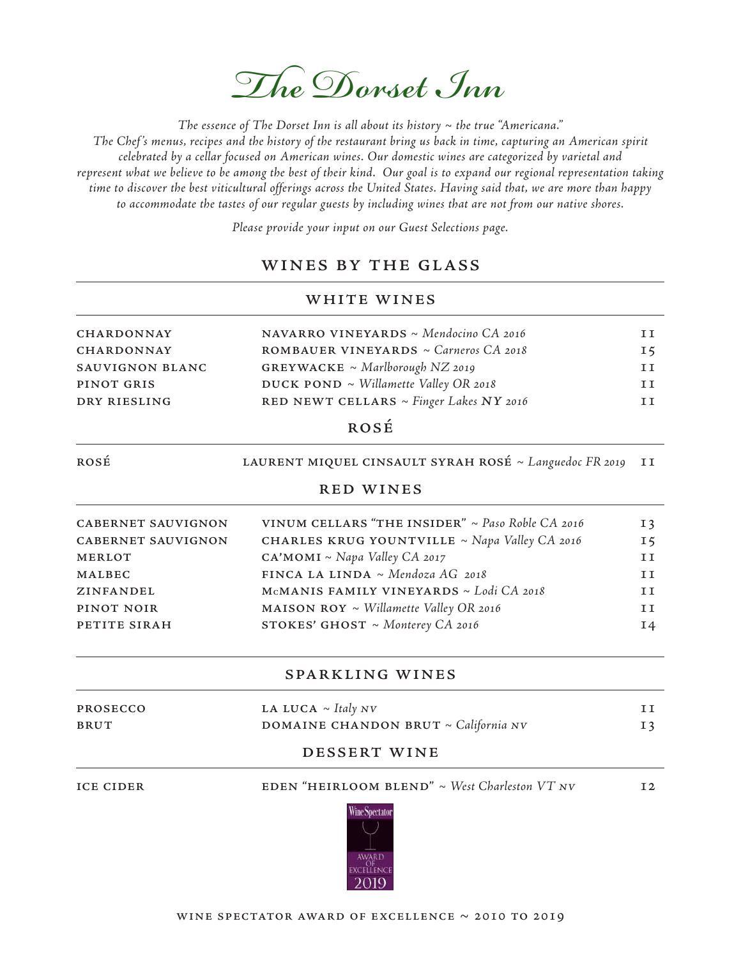

The essence of The Dorset Inn is all about its history  $\sim$  the true "Americana."

The Chef 's menus, recipes and the history of the restaurant bring us back in time, capturing an American spirit celebrated by a cellar focused on American wines. Our domestic wines are categorized by varietal and represent what we believe to be among the best of their kind. Our goal is to expand our regional representation taking time to discover the best viticultural offerings across the United States. Having said that, we are more than happy to accommodate the tastes of our regular guests by including wines that are not from our native shores.

Please provide your input on our Guest Selections page.

# wines by the glass

## white wines

| <b>CHARDONNAY</b> | <b>NAVARRO VINEYARDS</b> ~ Mendocino $CA$ 2016    | T T |
|-------------------|---------------------------------------------------|-----|
|                   |                                                   |     |
| <b>CHARDONNAY</b> | <b>ROMBAUER VINEYARDS</b> $\sim$ Carneros CA 2018 | 15  |
| SAUVIGNON BLANC   | <b>GREYWACKE</b> ~ Marlborough NZ 2019            | T T |
| PINOT GRIS        | DUCK POND $\sim$ Willamette Valley OR 2018        | T T |
| DRY RIESLING      | RED NEWT CELLARS ~ Finger Lakes NY 2016           | T T |
|                   |                                                   |     |

# rosÉ

#### ROSÉ LAURENT MIQUEL CINSAULT SYRAH ROSÉ ~ Languedoc FR 2019 II

#### red wines

| <b>CABERNET SAUVIGNON</b> | VINUM CELLARS "THE INSIDER" $\sim$ Paso Roble CA 2016 | 13  |
|---------------------------|-------------------------------------------------------|-----|
| <b>CABERNET SAUVIGNON</b> | <b>CHARLES KRUG YOUNTVILLE</b> ~ Napa Valley CA 2016  | 15  |
| <b>MERLOT</b>             | CA'MOMI ~ Napa Valley CA 2017                         | T T |
| MALBEC                    | FINCA LA LINDA ~ Mendoza AG 2018                      | T T |
| ZINFANDEL                 | MCMANIS FAMILY VINEYARDS ~ Lodi CA 2018               | T T |
| PINOT NOIR                | <b>MAISON ROY</b> ~ <i>Willamette Valley OR</i> 2016  | TΤ  |
| PETITE SIRAH              | STOKES' GHOST ~ Monterey CA 2016                      | I4  |
|                           |                                                       |     |

## sparkling wines

| <b>PROSECCO</b> | LA LUCA $\sim$ Italy NV                   |    |
|-----------------|-------------------------------------------|----|
| <b>BRUT</b>     | DOMAINE CHANDON BRUT $\sim$ California NV | 13 |

#### dessert wine

ICE CIDER EDEN "HEIRLOOM BLEND" ~ West Charleston VT NV 12

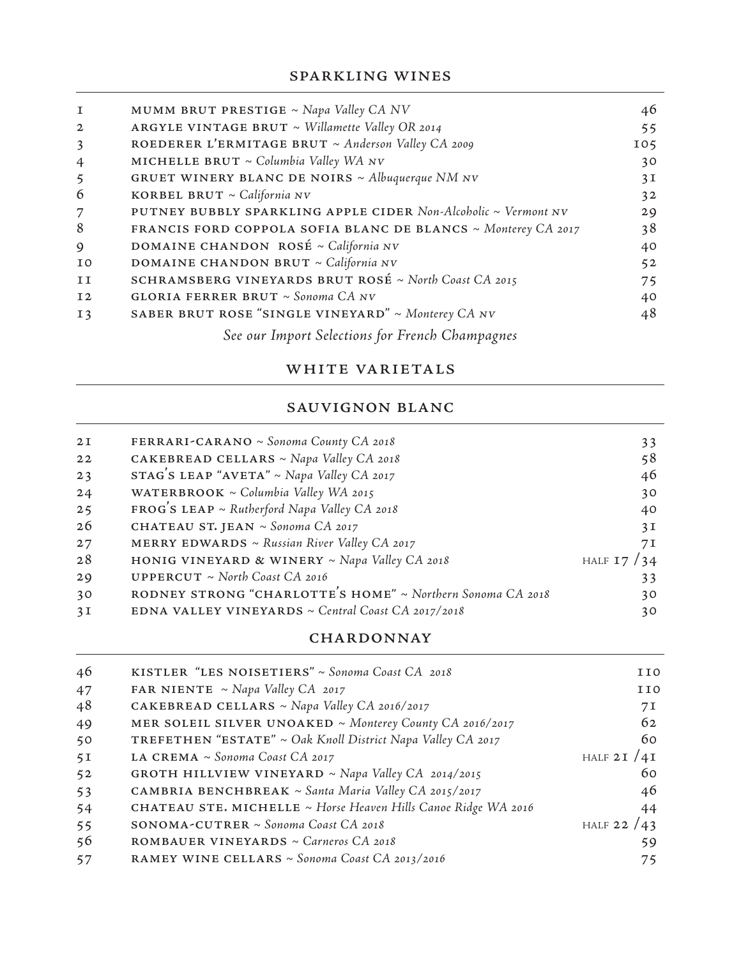| 1               | MUMM BRUT PRESTIGE ~ Napa Valley CA NV                         | 46  |
|-----------------|----------------------------------------------------------------|-----|
| $\mathbf{2}$    | ARGYLE VINTAGE BRUT $\sim$ Willamette Valley OR 2014           | 55  |
| $\overline{3}$  | ROEDERER L'ERMITAGE BRUT ~ Anderson Valley CA 2009             | 105 |
| $\overline{4}$  | MICHELLE BRUT $\sim$ Columbia Valley WA NV                     | 30  |
| $5\overline{)}$ | <b>GRUET WINERY BLANC DE NOIRS</b> $\sim$ Albuquerque NM NV    | 3I  |
| 6               | KORBEL BRUT ~ California NV                                    | 32  |
| 7               | PUTNEY BUBBLY SPARKLING APPLE CIDER Non-Alcoholic ~ Vermont NV | 29  |
| 8               | FRANCIS FORD COPPOLA SOFIA BLANC DE BLANCS ~ Monterey CA 2017  | 38  |
| 9               | DOMAINE CHANDON ROSÉ ~ California NV                           | 40  |
| I0              | DOMAINE CHANDON BRUT ~ California NV                           | 52  |
| II              | SCHRAMSBERG VINEYARDS BRUT ROSÉ ~ North Coast CA 2015          | 75  |
| 12              | GLORIA FERRER BRUT ~ Sonoma CA NV                              | 40  |
| I <sub>3</sub>  | SABER BRUT ROSE "SINGLE VINEYARD" ~ Monterey CA NV             | 48  |
|                 | See our Import Selections for French Champagnes                |     |

# WHITE VARIETALS

# sauvignon blanc

| 2I | FERRARI-CARANO ~ Sonoma County CA 2018                     | 33           |
|----|------------------------------------------------------------|--------------|
| 22 | CAKEBREAD CELLARS ~ Napa Valley CA 2018                    | 58           |
| 23 | STAG'S LEAP "AVETA" ~ Napa Valley CA 2017                  | 46           |
| 24 | WATERBROOK ~ Columbia Valley WA 2015                       | 30           |
| 25 | $FROG'S LEAP \sim Rutherford Napa Valley CA 2018$          | 40           |
| 26 | CHATEAU ST. JEAN ~ Sonoma CA 2017                          | 3I           |
| 27 | MERRY EDWARDS ~ Russian River Valley CA 2017               | 7 I          |
| 28 | HONIG VINEYARD & WINERY ~ Napa Valley CA 2018              | HALF $17/34$ |
| 29 | <b>UPPERCUT</b> ~ North Coast CA 2016                      | 33           |
| 30 | RODNEY STRONG "CHARLOTTE'S HOME" ~ Northern Sonoma CA 2018 | 30           |
| 3I | EDNA VALLEY VINEYARDS ~ Central Coast CA 2017/2018         | 30           |

## CHARDONNAY

| 46 | KISTLER "LES NOISETIERS" ~ Sonoma Coast CA 2018                | <b>IIO</b>      |
|----|----------------------------------------------------------------|-----------------|
| 47 | <b>FAR NIENTE</b> ~ Napa Valley CA 2017                        | <b>IIO</b>      |
| 48 | <b>CAKEBREAD CELLARS</b> ~ Napa Valley CA 2016/2017            | 7 I             |
| 49 | MER SOLEIL SILVER UNOAKED ~ Monterey County CA 2016/2017       | 62              |
| 50 | TREFETHEN "ESTATE" ~ Oak Knoll District Napa Valley CA 2017    | 60              |
| 5I | LA CREMA ~ Sonoma Coast CA 2017                                | HALF 2 I $/4$ I |
| 52 | <b>GROTH HILLVIEW VINEYARD</b> ~ Napa Valley CA 2014/2015      | 60              |
| 53 | CAMBRIA BENCHBREAK ~ Santa Maria Valley CA 2015/2017           | 46              |
| 54 | CHATEAU STE. MICHELLE ~ Horse Heaven Hills Canoe Ridge WA 2016 | 44              |
| 55 | SONOMA-CUTRER ~ Sonoma Coast CA 2018                           | HALF 22 $/43$   |
| 56 | ROMBAUER VINEYARDS ~ Carneros CA 2018                          | 59              |
| 57 | RAMEY WINE CELLARS ~ Sonoma Coast CA 2013/2016                 | 75              |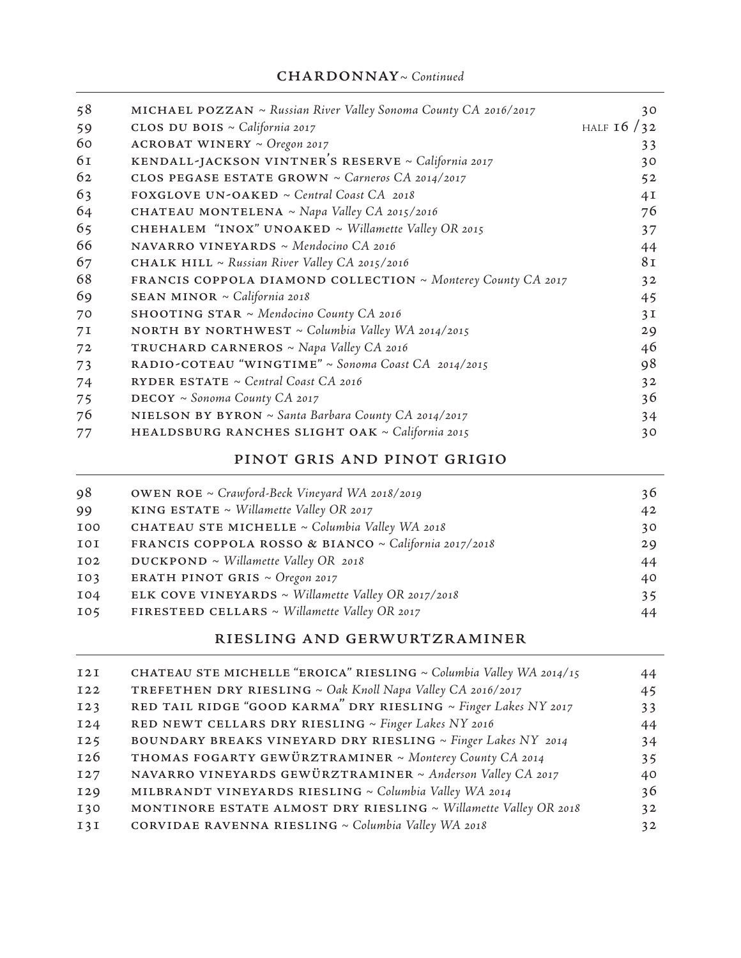| 58             | <b>MICHAEL POZZAN</b> ~ Russian River Valley Sonoma County CA 2016/2017 | 30           |
|----------------|-------------------------------------------------------------------------|--------------|
| 59             | CLOS DU BOIS ~ California 2017                                          | HALF $16/32$ |
| 60             | <b>ACROBAT WINERY ~ Oregon 2017</b>                                     | 33           |
| 61             | KENDALL-JACKSON VINTNER'S RESERVE ~ California 2017                     | 30           |
| 62             | CLOS PEGASE ESTATE GROWN ~ Carneros CA 2014/2017                        | 52           |
| 63             | FOXGLOVE UN-OAKED ~ Central Coast CA 2018                               | 4I           |
| 64             | <b>CHATEAU MONTELENA</b> ~ Napa Valley CA 2015/2016                     | 76           |
| 65             | <b>CHEHALEM</b> "INOX" UNOAKED ~ Willamette Valley OR 2015              | 37           |
| 66             | NAVARRO VINEYARDS ~ Mendocino CA 2016                                   | 44           |
| 67             | <b>CHALK HILL</b> ~ Russian River Valley CA 2015/2016                   | 81           |
| 68             | FRANCIS COPPOLA DIAMOND COLLECTION ~ Monterey County CA 2017            | 32           |
| 69             | SEAN MINOR ~ California 2018                                            | 45           |
| 70             | SHOOTING STAR ~ Mendocino County CA 2016                                | 3I           |
| 7 <sub>I</sub> | <b>NORTH BY NORTHWEST</b> $\sim$ Columbia Valley WA 2014/2015           | 29           |
| 72             | <b>TRUCHARD CARNEROS</b> ~ Napa Valley CA 2016                          | 46           |
| 73             | RADIO-COTEAU "WINGTIME" ~ Sonoma Coast CA 2014/2015                     | 98           |
| 74             | RYDER ESTATE $\sim$ Central Coast CA 2016                               | 32           |
| 75             | DECOY ~ Sonoma County CA 2017                                           | 36           |
| 76             | NIELSON BY BYRON ~ Santa Barbara County CA 2014/2017                    | 34           |
| 77             | HEALDSBURG RANCHES SLIGHT OAK ~ California 2015                         | 30           |

# pinot gris and pinot grigio

| 98         | <b>OWEN ROE</b> ~ Crawford-Beck Vineyard WA 2018/2019 | 36 |
|------------|-------------------------------------------------------|----|
| 99         | KING ESTATE ~ Willamette Valley OR 2017               | 42 |
| <b>IOO</b> | CHATEAU STE MICHELLE ~ Columbia Valley WA 2018        | 30 |
| 10I        | FRANCIS COPPOLA ROSSO & BIANCO ~ California 2017/2018 | 29 |
| I02        | $DUCKPOND \sim Willamette Valley OR 2018$             | 44 |
| IO3        | <b>ERATH PINOT GRIS</b> $\sim$ Oregon 2017            | 40 |
| I04        | ELK COVE VINEYARDS ~ Willamette Valley OR 2017/2018   | 35 |
| 105        | FIRESTEED CELLARS ~ Willamette Valley OR 2017         | 44 |

# riesling and gerwurtzraminer

| I2I        | CHATEAU STE MICHELLE "EROICA" RIESLING ~ Columbia Valley WA 2014/15 | 44 |
|------------|---------------------------------------------------------------------|----|
| <b>I22</b> | TREFETHEN DRY RIESLING ~ Oak Knoll Napa Valley CA 2016/2017         | 45 |
| I23        | RED TAIL RIDGE "GOOD KARMA" DRY RIESLING ~ Finger Lakes NY 2017     | 33 |
| I24        | RED NEWT CELLARS DRY RIESLING ~ Finger Lakes NY 2016                | 44 |
| 125        | BOUNDARY BREAKS VINEYARD DRY RIESLING ~ Finger Lakes NY 2014        | 34 |
| 126        | THOMAS FOGARTY GEWÜRZTRAMINER ~ Monterey County CA 2014             | 35 |
| <b>I27</b> | NAVARRO VINEYARDS GEWÜRZTRAMINER ~ Anderson Valley CA 2017          | 40 |
| I29        | MILBRANDT VINEYARDS RIESLING ~ Columbia Valley WA 2014              | 36 |
| I30        | MONTINORE ESTATE ALMOST DRY RIESLING ~ Willamette Valley OR 2018    | 32 |
| I3I        | CORVIDAE RAVENNA RIESLING ~ Columbia Valley WA 2018                 | 32 |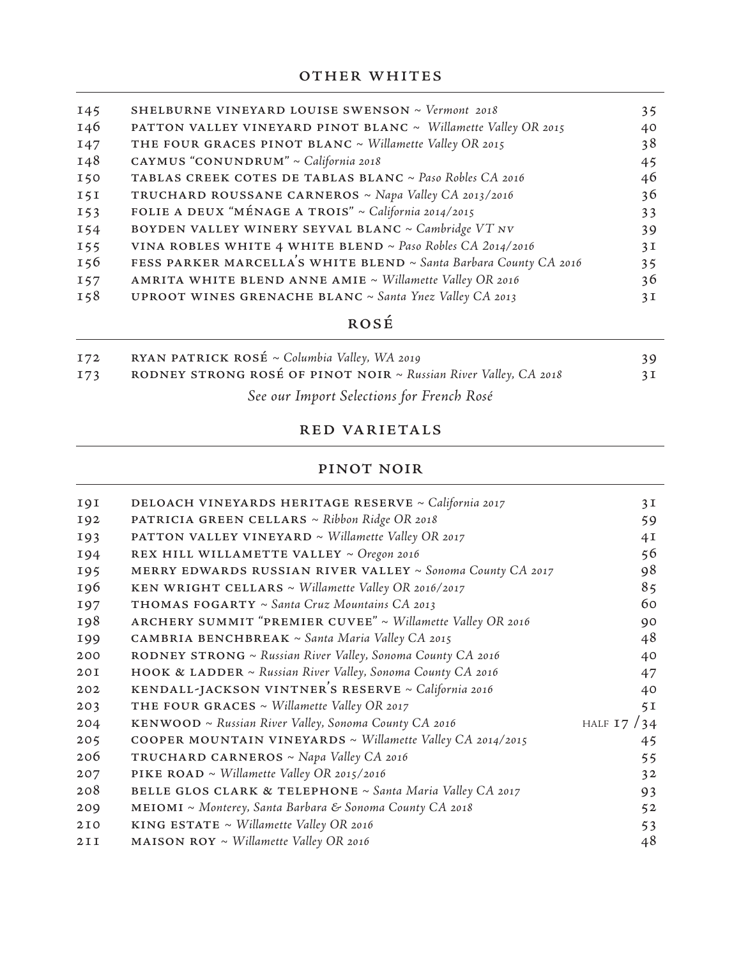| I45        | SHELBURNE VINEYARD LOUISE SWENSON ~ Vermont 2018                    | 35              |
|------------|---------------------------------------------------------------------|-----------------|
| 146        | PATTON VALLEY VINEYARD PINOT BLANC ~ Willamette Valley OR 2015      | 40              |
| I47        | THE FOUR GRACES PINOT BLANC ~ Willamette Valley OR 2015             | 38              |
| 148        | CAYMUS "CONUNDRUM" ~ California 2018                                | 45              |
| 150        | TABLAS CREEK COTES DE TABLAS BLANC ~ Paso Robles CA 2016            | 46              |
| 151        | TRUCHARD ROUSSANE CARNEROS ~ Napa Valley CA 2013/2016               | 36              |
| 153        | FOLIE A DEUX "MÉNAGE A TROIS" ~ California 2014/2015                | 33 <sup>3</sup> |
| I54        | BOYDEN VALLEY WINERY SEYVAL BLANC ~ Cambridge VT NV                 | 39              |
| <b>155</b> | VINA ROBLES WHITE 4 WHITE BLEND ~ Paso Robles CA 2014/2016          | 3I              |
| 156        | FESS PARKER MARCELLA'S WHITE BLEND ~ Santa Barbara County CA 2016   | 35              |
| <b>157</b> | AMRITA WHITE BLEND ANNE AMIE ~ Willamette Valley OR 2016            | 36              |
| I58        | <b>UPROOT WINES GRENACHE BLANC</b> $\sim$ Santa Ynez Valley CA 2013 | 3I              |

# rosÉ

| I72 | RYAN PATRICK ROSÉ ~ Columbia Valley, WA 2019                     |    |
|-----|------------------------------------------------------------------|----|
| I73 | RODNEY STRONG ROSÉ OF PINOT NOIR ~ Russian River Valley, CA 2018 | 3I |
|     | See our Import Selections for French Rosé                        |    |

## red varietals

# pinot noir

| 19 <sub>I</sub> | DELOACH VINEYARDS HERITAGE RESERVE ~ California 2017            | 3I           |
|-----------------|-----------------------------------------------------------------|--------------|
| 192             | PATRICIA GREEN CELLARS ~ Ribbon Ridge OR 2018                   | 59           |
| <b>193</b>      | <b>PATTON VALLEY VINEYARD</b> ~ Willamette Valley OR 2017       | 4I           |
| 194             | REX HILL WILLAMETTE VALLEY ~ Oregon 2016                        | 56           |
| 195             | MERRY EDWARDS RUSSIAN RIVER VALLEY $\sim$ Sonoma County CA 2017 | 98           |
| 196             | KEN WRIGHT CELLARS ~ Willamette Valley OR 2016/2017             | 85           |
| 197             | THOMAS FOGARTY ~ Santa Cruz Mountains CA 2013                   | 60           |
| 198             | ARCHERY SUMMIT "PREMIER CUVEE" ~ Willamette Valley OR 2016      | 90           |
| 199             | <b>CAMBRIA BENCHBREAK</b> ~ Santa Maria Valley CA 2015          | 48           |
| 200             | RODNEY STRONG ~ Russian River Valley, Sonoma County CA 2016     | 40           |
| 20I             | HOOK & LADDER ~ Russian River Valley, Sonoma County CA 2016     | 47           |
| 202             | KENDALL-JACKSON VINTNER'S RESERVE ~ California 2016             | 40           |
| 203             | THE FOUR GRACES $\sim$ Willamette Valley OR 2017                | 5I           |
| 204             | KENWOOD ~ Russian River Valley, Sonoma County CA 2016           | HALF $17/34$ |
| 205             | COOPER MOUNTAIN VINEYARDS ~ Willamette Valley CA 2014/2015      | 45           |
| 206             | <b>TRUCHARD CARNEROS</b> ~ Napa Valley CA 2016                  | 55           |
| 207             | <b>PIKE ROAD</b> ~ Willamette Valley OR 2015/2016               | 32           |
| 208             | BELLE GLOS CLARK & TELEPHONE ~ Santa Maria Valley CA 2017       | 93           |
| 209             | MEIOMI ~ Monterey, Santa Barbara & Sonoma County CA 2018        | 52           |
| 2I0             | KING ESTATE $\sim$ Willamette Valley OR 2016                    | 53           |
| 2II             | <b>MAISON ROY</b> ~ Willamette Valley OR 2016                   | 48           |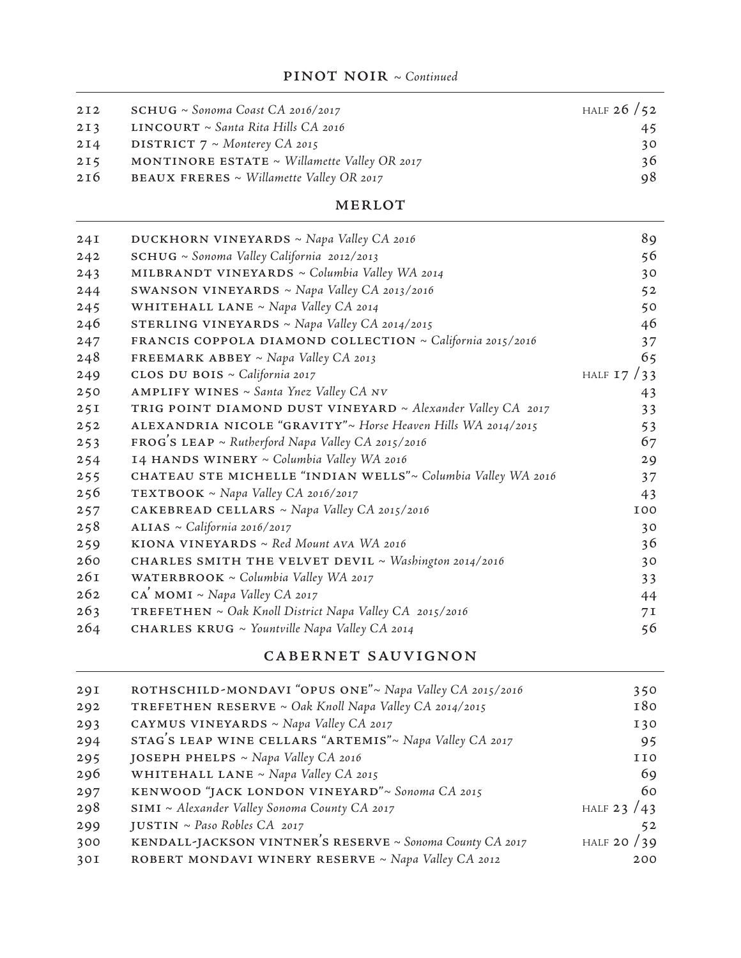| 2I2 | $SCHUG \sim$ Sonoma Coast CA 2016/2017          | HALF $26/52$ |
|-----|-------------------------------------------------|--------------|
| 2I3 | $LINCOURT \sim Santa Rita Hills CA 2016$        | 45           |
| 2I4 | <b>DISTRICT</b> $7 \sim$ Monterey CA 2015       | 30           |
| 2I5 | MONTINORE ESTATE ~ Willamette Valley OR 2017    | 36           |
| 216 | <b>BEAUX FRERES</b> ~ Willamette Valley OR 2017 | 98           |

#### MERLOT

| 24I | <b>DUCKHORN VINEYARDS</b> ~ Napa Valley CA 2016              | 89             |
|-----|--------------------------------------------------------------|----------------|
| 242 | $\text{SCHUG} \sim$ Sonoma Valley California 2012/2013       | 56             |
| 243 | MILBRANDT VINEYARDS ~ Columbia Valley WA 2014                | 30             |
| 244 | SWANSON VINEYARDS ~ Napa Valley CA 2013/2016                 | 52             |
| 245 | WHITEHALL LANE ~ Napa Valley CA 2014                         | 50             |
| 246 | STERLING VINEYARDS ~ Napa Valley CA 2014/2015                | 46             |
| 247 | FRANCIS COPPOLA DIAMOND COLLECTION ~ California 2015/2016    | 37             |
| 248 | FREEMARK ABBEY ~ Napa Valley CA 2013                         | 65             |
| 249 | CLOS DU BOIS ~ California 2017                               | HALF $17/33$   |
| 250 | AMPLIFY WINES ~ Santa Ynez Valley CA NV                      | 43             |
| 25I | TRIG POINT DIAMOND DUST VINEYARD ~ Alexander Valley CA 2017  | 33             |
| 252 | ALEXANDRIA NICOLE "GRAVITY"~ Horse Heaven Hills WA 2014/2015 | 53             |
| 253 | $FROG'S LEAP \sim Rutherford Napa Valley CA 2015/2016$       | 67             |
| 254 | 14 HANDS WINERY ~ Columbia Valley WA 2016                    | 29             |
| 255 | CHATEAU STE MICHELLE "INDIAN WELLS"~ Columbia Valley WA 2016 | 37             |
| 256 | TEXTBOOK ~ Napa Valley CA 2016/2017                          | 43             |
| 257 | CAKEBREAD CELLARS ~ Napa Valley CA 2015/2016                 | <b>IOO</b>     |
| 258 | ALIAS ~ California 2016/2017                                 | 30             |
| 259 | KIONA VINEYARDS ~ $Red$ Mount AVA WA 2016                    | 36             |
| 260 | CHARLES SMITH THE VELVET DEVIL ~ Washington 2014/2016        | 30             |
| 26I | WATERBROOK ~ Columbia Valley WA 2017                         | 33             |
| 262 | $CA$ MOMI ~ Napa Valley CA 2017                              | 44             |
| 263 | TREFETHEN ~ Oak Knoll District Napa Valley CA 2015/2016      | 7 <sub>I</sub> |
| 264 | CHARLES KRUG ~ Yountville Napa Valley CA 2014                | 56             |
|     |                                                              |                |

# cabernet sauvignon

| 29I | ROTHSCHILD-MONDAVI "OPUS ONE"~ Napa Valley CA 2015/2016       | 350           |
|-----|---------------------------------------------------------------|---------------|
| 292 | <b>TREFETHEN RESERVE</b> ~ Oak Knoll Napa Valley CA 2014/2015 | 180           |
| 293 | CAYMUS VINEYARDS ~ Napa Valley CA 2017                        | I30           |
| 294 | STAG'S LEAP WINE CELLARS "ARTEMIS"~ Napa Valley CA 2017       | 95            |
| 295 | JOSEPH PHELPS ~ Napa Valley CA 2016                           | <b>IIO</b>    |
| 296 | WHITEHALL LANE ~ Napa Valley CA 2015                          | 69            |
| 297 | KENWOOD "JACK LONDON VINEYARD"~ Sonoma CA 2015                | 60            |
| 298 | $SIMI \sim Alexander$ Valley Sonoma County CA 2017            | HALF 23 $/43$ |
| 299 | <b>JUSTIN</b> ~ Paso Robles CA 2017                           | 52            |
| 300 | KENDALL-JACKSON VINTNER'S RESERVE ~ Sonoma County CA 2017     | HALF 20 $/39$ |
| 30I | ROBERT MONDAVI WINERY RESERVE ~ Napa Valley CA 2012           | 200           |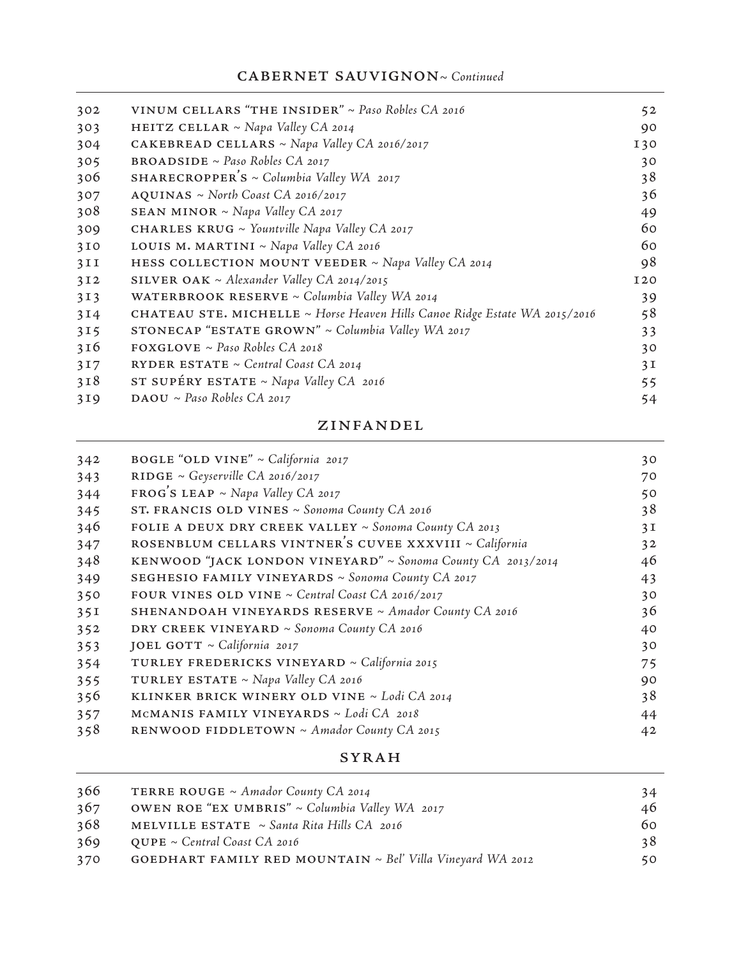# CABERNET SAUVIGNON~ Continued

| 302             | VINUM CELLARS "THE INSIDER" ~ Paso Robles CA 2016                          | 52         |
|-----------------|----------------------------------------------------------------------------|------------|
| 303             | <b>HEITZ CELLAR</b> ~ Napa Valley CA 2014                                  | 90         |
| 304             | <b>CAKEBREAD CELLARS</b> ~ Napa Valley CA 2016/2017                        | I30        |
| 305             | <b>BROADSIDE</b> ~ <i>Paso Robles CA 2017</i>                              | 30         |
| 306             | SHARECROPPER'S ~ Columbia Valley WA 2017                                   | 38         |
| 307             | $AQUINAS \sim North$ Coast CA 2016/2017                                    | 36         |
| 308             | <b>SEAN MINOR</b> ~ Napa Valley CA 2017                                    | 49         |
| 309             | CHARLES KRUG ~ Yountville Napa Valley CA 2017                              | 60         |
| 310             | LOUIS M. MARTINI ~ Napa Valley CA 2016                                     | 60         |
| 3II             | HESS COLLECTION MOUNT VEEDER ~ Napa Valley CA 2014                         | 98         |
| 3I2             | SILVER OAK ~ Alexander Valley CA 2014/2015                                 | <b>I20</b> |
| 3 <sub>13</sub> | WATERBROOK RESERVE ~ Columbia Valley WA 2014                               | 39         |
| 3I4             | CHATEAU STE. MICHELLE ~ Horse Heaven Hills Canoe Ridge Estate WA 2015/2016 | 58         |
| 315             | STONECAP "ESTATE GROWN" $\sim$ Columbia Valley WA 2017                     | 33         |
| 316             | $\texttt{FOXGLOVE} \sim \textit{Paso Robles CA 2018}$                      | 30         |
| 317             | RYDER ESTATE $\sim$ Central Coast CA 2014                                  | 3I         |
| 3I8             | ST SUPÉRY ESTATE ~ Napa Valley $CA$ 2016                                   | 55         |
| 3I9             | $\textbf{DAOU} \sim \textit{Paso}$ Robles CA 2017                          | 54         |

#### zinfandel

| 342 | BOGLE "OLD VINE" ~ California 2017                          | 30 |
|-----|-------------------------------------------------------------|----|
| 343 | RIDGE ~ Geyserville CA 2016/2017                            | 70 |
| 344 | $FROG'S LEAP \sim Napa$ Valley CA 2017                      | 50 |
| 345 | ST. FRANCIS OLD VINES ~ Sonoma County CA 2016               | 38 |
| 346 | FOLIE A DEUX DRY CREEK VALLEY ~ Sonoma County CA 2013       | 3I |
| 347 | ROSENBLUM CELLARS VINTNER'S CUVEE XXXVIII ~ California      | 32 |
| 348 | KENWOOD "JACK LONDON VINEYARD" ~ Sonoma County CA 2013/2014 | 46 |
| 349 | SEGHESIO FAMILY VINEYARDS ~ Sonoma County CA 2017           | 43 |
| 350 | FOUR VINES OLD VINE $\sim$ Central Coast CA 2016/2017       | 30 |
| 35I | <b>SHENANDOAH VINEYARDS RESERVE ~ Amador County CA 2016</b> | 36 |
| 352 | DRY CREEK VINEYARD ~ Sonoma County CA 2016                  | 40 |
| 353 | JOEL GOTT ~ California 2017                                 | 30 |
| 354 | TURLEY FREDERICKS VINEYARD ~ California 2015                | 75 |
| 355 | TURLEY ESTATE ~ Napa Valley $CA$ 2016                       | 90 |
| 356 | KLINKER BRICK WINERY OLD VINE $\sim$ Lodi CA 2014           | 38 |
| 357 | MCMANIS FAMILY VINEYARDS ~ Lodi CA 2018                     | 44 |
| 358 | RENWOOD FIDDLETOWN ~ Amador County CA 2015                  | 42 |

syrah

| 366 | TERRE ROUGE $\sim$ Amador County CA 2014                               | 34 |
|-----|------------------------------------------------------------------------|----|
| 367 | OWEN ROE "EX UMBRIS" ~ Columbia Valley WA 2017                         | 46 |
| 368 | MELVILLE ESTATE $\sim$ Santa Rita Hills CA 2016                        | 60 |
| 369 | $\text{QUE} \sim \text{Central Coast CA }$ 2016                        | 38 |
| 370 | <b>GOEDHART FAMILY RED MOUNTAIN</b> $\sim$ Bel' Villa Vineyard WA 2012 | 50 |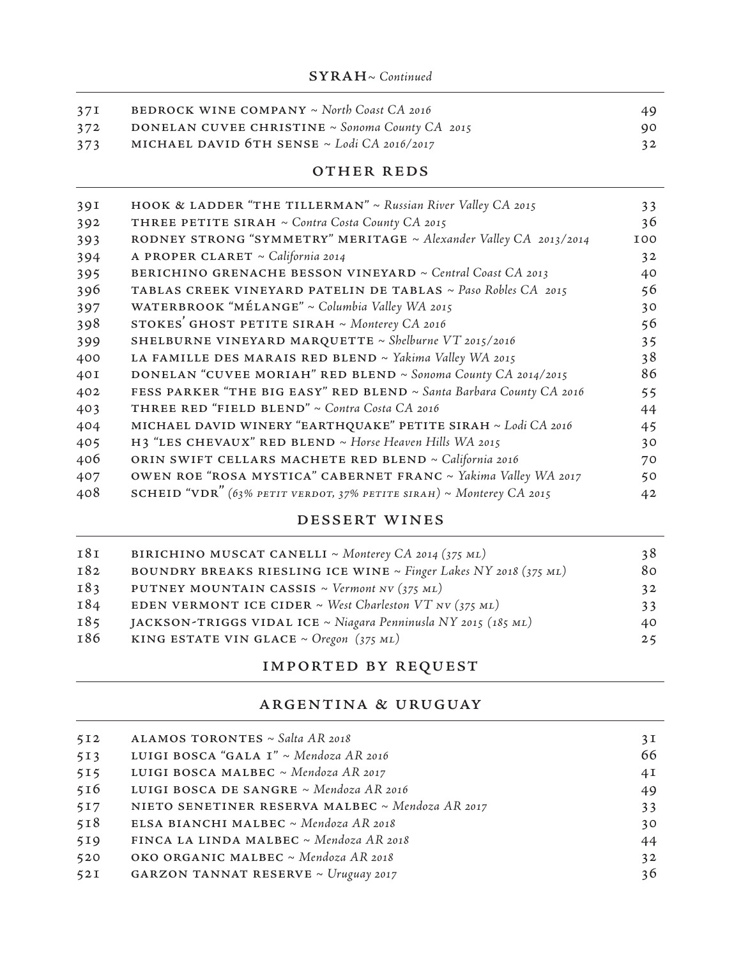| 37I | <b>BEDROCK WINE COMPANY</b> $\sim$ North Coast CA 2016 | 49. |
|-----|--------------------------------------------------------|-----|
| 372 | <b>DONELAN CUVEE CHRISTINE ~ Sonoma County CA 2015</b> | 90  |
| 373 | MICHAEL DAVID 6TH SENSE $\sim$ Lodi CA 2016/2017       | 32  |

OTHER REDS

| 39I | <b>HOOK &amp; LADDER "THE TILLERMAN"</b> ~ Russian River Valley CA 2015 | 33         |
|-----|-------------------------------------------------------------------------|------------|
| 392 | THREE PETITE SIRAH ~ Contra Costa County CA 2015                        | 36         |
| 393 | RODNEY STRONG "SYMMETRY" MERITAGE ~ Alexander Valley CA 2013/2014       | <b>IOO</b> |
| 394 | A PROPER CLARET ~ California 2014                                       | 32         |
| 395 | BERICHINO GRENACHE BESSON VINEYARD ~ Central Coast CA 2013              | 40         |
| 396 | TABLAS CREEK VINEYARD PATELIN DE TABLAS ~ Paso Robles CA 2015           | 56         |
| 397 | WATERBROOK "MÉLANGE" ~ Columbia Valley WA 2015                          | 30         |
| 398 | STOKES' GHOST PETITE SIRAH ~ Monterey CA 2016                           | 56         |
| 399 | SHELBURNE VINEYARD MARQUETTE ~ Shelburne VT 2015/2016                   | 35         |
| 400 | LA FAMILLE DES MARAIS RED BLEND ~ Yakima Valley WA 2015                 | 38         |
| 40I | DONELAN "CUVEE MORIAH" RED BLEND ~ Sonoma County CA 2014/2015           | 86         |
| 402 | FESS PARKER "THE BIG EASY" RED BLEND ~ Santa Barbara County CA 2016     | 55         |
| 403 | THREE RED "FIELD BLEND" ~ Contra Costa CA 2016                          | 44         |
| 404 | MICHAEL DAVID WINERY "EARTHQUAKE" PETITE SIRAH ~ Lodi CA 2016           | 45         |
| 405 | H3 "LES CHEVAUX" RED BLEND ~ Horse Heaven Hills WA 2015                 | 30         |
| 406 | ORIN SWIFT CELLARS MACHETE RED BLEND ~ California 2016                  | 70         |
| 407 | OWEN ROE "ROSA MYSTICA" CABERNET FRANC ~ Yakima Valley WA 2017          | 50         |
| 408 | SCHEID "VDR" (63% PETIT VERDOT, 37% PETITE SIRAH) ~ Monterey CA 2015    | 42         |
|     |                                                                         |            |

# dessert wines

| BIRICHINO MUSCAT CANELLI ~ Monterey CA 2014 (375 ML)             | 38 |
|------------------------------------------------------------------|----|
| BOUNDRY BREAKS RIESLING ICE WINE ~ Finger Lakes NY 2018 (375 ML) | 80 |
| PUTNEY MOUNTAIN CASSIS ~ Vermont NV (375 ML)                     | 32 |
| EDEN VERMONT ICE CIDER ~ West Charleston VT NV (375 ML)          | 33 |
| JACKSON-TRIGGS VIDAL ICE ~ Niagara Penninusla NY 2015 (185 ML)   | 40 |
| KING ESTATE VIN GLACE ~ Oregon $(375 \text{ ML})$                | 25 |
|                                                                  |    |

# imported by request

## argentina & uruguay

| 512 | ALAMOS TORONTES ~ Salta AR 2018                  | 3I |
|-----|--------------------------------------------------|----|
| 513 | LUIGI BOSCA "GALA I" ~ Mendoza AR 2016           | 66 |
| 515 | LUIGI BOSCA MALBEC ~ Mendoza AR 2017             | 4I |
| 516 | LUIGI BOSCA DE SANGRE ~ Mendoza AR 2016          | 49 |
| 517 | NIETO SENETINER RESERVA MALBEC ~ Mendoza AR 2017 | 33 |
| 518 | ELSA BIANCHI MALBEC ~ Mendoza AR 2018            | 30 |
| 519 | FINCA LA LINDA MALBEC ~ Mendoza AR 2018          | 44 |
| 520 | OKO ORGANIC MALBEC ~ Mendoza AR 2018             | 32 |
| 52I | <b>GARZON TANNAT RESERVE ~ Uruguay 2017</b>      | 36 |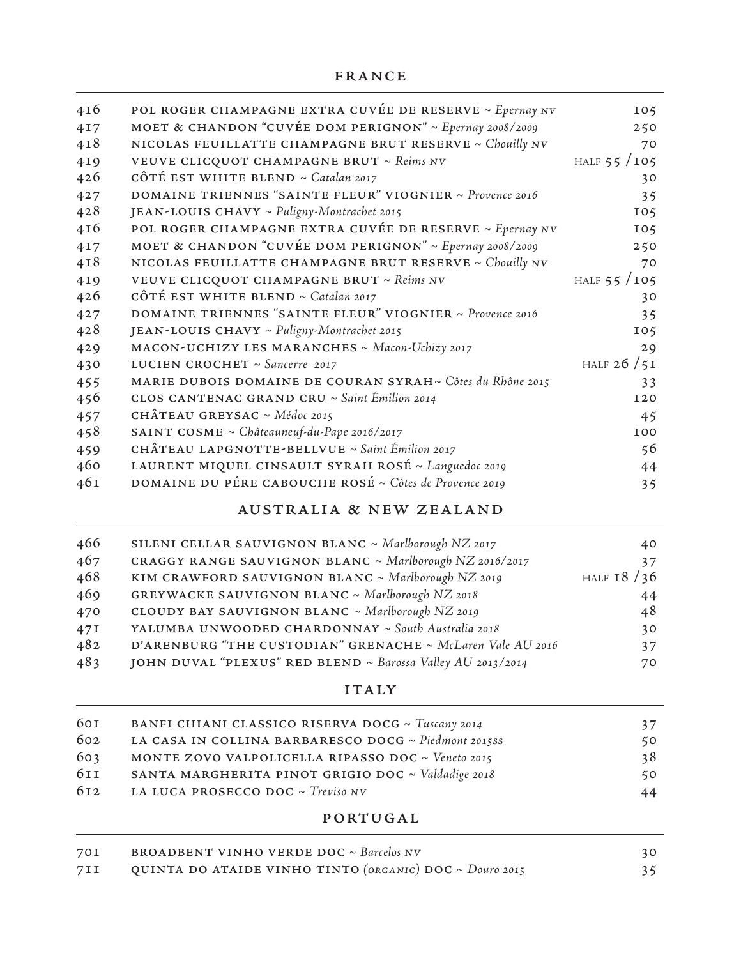| 416 | POL ROGER CHAMPAGNE EXTRA CUVÉE DE RESERVE ~ Epernay NV   | 105           |
|-----|-----------------------------------------------------------|---------------|
| 417 | MOET & CHANDON "CUVÉE DOM PERIGNON" ~ Epernay 2008/2009   | 250           |
| 4I8 | NICOLAS FEUILLATTE CHAMPAGNE BRUT RESERVE ~ Chouilly NV   | 70            |
| 4I9 | VEUVE CLICQUOT CHAMPAGNE BRUT ~ Reims NV                  | HALF $55/105$ |
| 426 | CÔTÉ EST WHITE BLEND ~ Catalan 2017                       | 30            |
| 427 | DOMAINE TRIENNES "SAINTE FLEUR" VIOGNIER ~ Provence 2016  | 35            |
| 428 | JEAN-LOUIS CHAVY ~ Puligny-Montrachet 2015                | 105           |
| 416 | POL ROGER CHAMPAGNE EXTRA CUVÉE DE RESERVE ~ Epernay NV   | 105           |
| 417 | MOET & CHANDON "CUVÉE DOM PERIGNON" ~ Epernay 2008/2009   | 250           |
| 4I8 | NICOLAS FEUILLATTE CHAMPAGNE BRUT RESERVE ~ Chouilly NV   | 70            |
| 4I9 | VEUVE CLICQUOT CHAMPAGNE BRUT ~ Reims NV                  | HALF $55/105$ |
| 426 | CÔTÉ EST WHITE BLEND ~ Catalan 2017                       | 30            |
| 427 | DOMAINE TRIENNES "SAINTE FLEUR" VIOGNIER ~ Provence 2016  | 35            |
| 428 | JEAN-LOUIS CHAVY ~ Puligny-Montrachet 2015                | 105           |
| 429 | MACON-UCHIZY LES MARANCHES ~ Macon-Uchizy 2017            | 29            |
| 430 | LUCIEN CROCHET ~ Sancerre 2017                            | HALF $26/5I$  |
| 455 | MARIE DUBOIS DOMAINE DE COURAN SYRAH~ Côtes du Rhône 2015 | 33            |
| 456 | CLOS CANTENAC GRAND CRU ~ Saint Émilion 2014              | <b>I20</b>    |
| 457 | CHÂTEAU GREYSAC ~ Médoc 2015                              | 45            |
| 458 | SAINT COSME ~ Châteauneuf-du-Pape 2016/2017               | <b>IOO</b>    |
| 459 | CHÂTEAU LAPGNOTTE-BELLVUE ~ Saint Émilion 2017            | 56            |
| 460 | LAURENT MIQUEL CINSAULT SYRAH ROSÉ ~ Languedoc 2019       | 44            |
| 46I | DOMAINE DU PÉRE CABOUCHE ROSÉ ~ Côtes de Provence 2019    | 35            |

# australia & new zealand

| 466<br>SILENI CELLAR SAUVIGNON BLANC ~ Marlborough NZ 2017<br>467<br>CRAGGY RANGE SAUVIGNON BLANC ~ Marlborough NZ 2016/2017 | 40<br>37     |
|------------------------------------------------------------------------------------------------------------------------------|--------------|
| 468<br>KIM CRAWFORD SAUVIGNON BLANC ~ Marlborough NZ 2019                                                                    | HALF $18/36$ |
| 469<br><b>GREYWACKE SAUVIGNON BLANC</b> ~ Marlborough NZ 2018                                                                | 44           |
| CLOUDY BAY SAUVIGNON BLANC ~ Marlborough NZ 2019<br>470                                                                      | 48           |
| YALUMBA UNWOODED CHARDONNAY ~ South Australia 2018<br>47I                                                                    | 30           |
| 482<br>D'ARENBURG "THE CUSTODIAN" GRENACHE ~ McLaren Vale AU 2016                                                            | 37           |
| 483<br>JOHN DUVAL "PLEXUS" RED BLEND ~ Barossa Valley AU 2013/2014                                                           | 70           |

# **ITALY**

|                                                    | 37                                                                                                                                               |
|----------------------------------------------------|--------------------------------------------------------------------------------------------------------------------------------------------------|
|                                                    | 50                                                                                                                                               |
| MONTE ZOVO VALPOLICELLA RIPASSO DOC ~ Veneto 2015  | 38                                                                                                                                               |
| SANTA MARGHERITA PINOT GRIGIO DOC ~ Valdadige 2018 | 50                                                                                                                                               |
|                                                    | 44                                                                                                                                               |
|                                                    | BANFI CHIANI CLASSICO RISERVA DOCG ~ Tuscany 2014<br>LA CASA IN COLLINA BARBARESCO DOCG ~ Piedmont 2015SS<br>LA LUCA PROSECCO DOC ~ $Treviso NV$ |

# portugal

| 70I   | <b>BROADBENT VINHO VERDE DOC</b> $\sim$ Barcelos NV     | 30 |
|-------|---------------------------------------------------------|----|
| 7 I I | QUINTA DO ATAIDE VINHO TINTO (ORGANIC) DOC ~ Douro 2015 | 35 |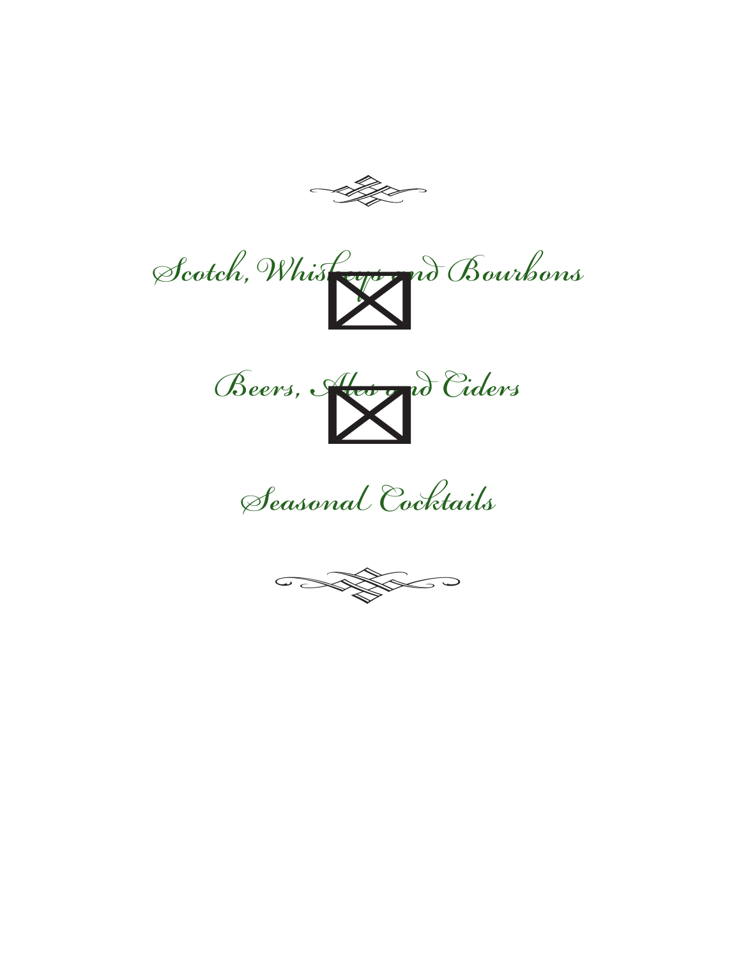





Seasonal Cocktails

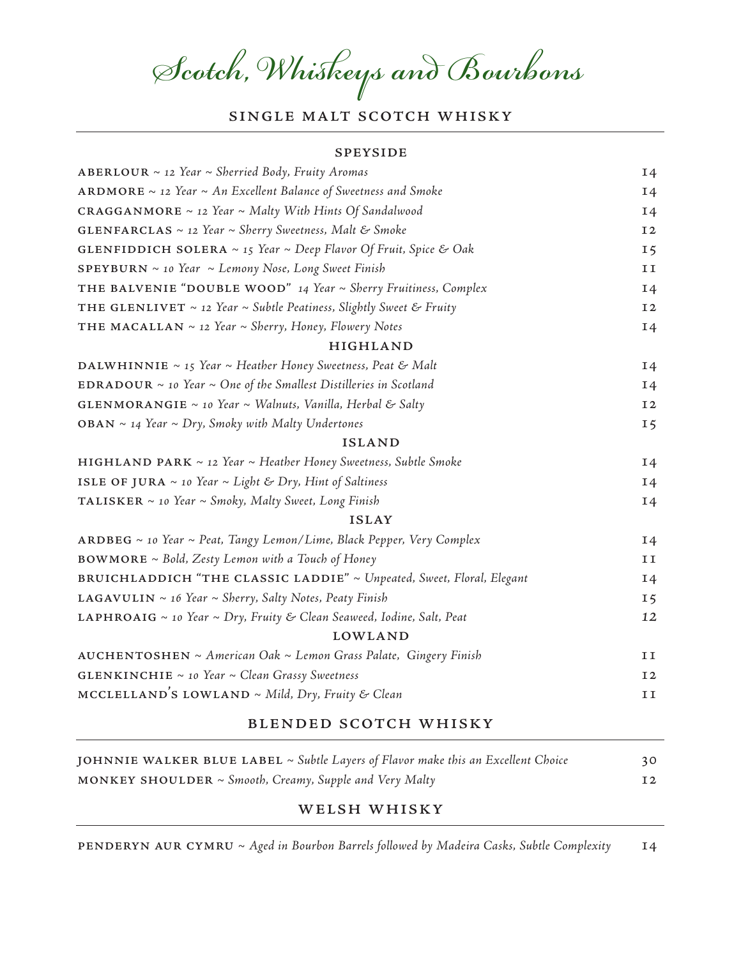# Scotch, Whiskeys and Bourbons

# SINGLE MALT SCOTCH WHISKY

#### speyside

| ABERLOUR $\sim$ 12 Year $\sim$ Sherried Body, Fruity Aromas                          | <b>14</b>      |
|--------------------------------------------------------------------------------------|----------------|
| ARDMORE $\sim$ 12 Year $\sim$ An Excellent Balance of Sweetness and Smoke            | $I_4$          |
| <b>CRAGGANMORE</b> $\sim$ 12 Year $\sim$ Malty With Hints Of Sandalwood              | $I_4$          |
| <b>GLENFARCLAS</b> $\sim$ 12 Year $\sim$ Sherry Sweetness, Malt & Smoke              | I <sub>2</sub> |
| <b>GLENFIDDICH SOLERA</b> $\sim$ 15 Year $\sim$ Deep Flavor Of Fruit, Spice & Oak    | 15             |
| <b>SPEYBURN</b> $\sim$ 10 Year $\sim$ Lemony Nose, Long Sweet Finish                 | II             |
| THE BALVENIE "DOUBLE WOOD" 14 Year ~ Sherry Fruitiness, Complex                      | I <sub>4</sub> |
| <b>THE GLENLIVET</b> $\sim$ 12 Year $\sim$ Subtle Peatiness, Slightly Sweet & Fruity | I2             |
| THE MACALLAN $\sim$ 12 Year $\sim$ Sherry, Honey, Flowery Notes                      | I4             |
| <b>HIGHLAND</b>                                                                      |                |
| DALWHINNIE ~ 15 Year ~ Heather Honey Sweetness, Peat & Malt                          | I4             |
| EDRADOUR $\sim$ 10 Year $\sim$ One of the Smallest Distilleries in Scotland          | I4             |
| <b>GLENMORANGIE</b> ~ 10 Year ~ Walnuts, Vanilla, Herbal & Salty                     | <b>I2</b>      |
| <b>OBAN</b> $\sim$ 14 Year $\sim$ Dry, Smoky with Malty Undertones                   | 15             |
| <b>ISLAND</b>                                                                        |                |
| <b>HIGHLAND PARK</b> $\sim$ 12 Year $\sim$ Heather Honey Sweetness, Subtle Smoke     | I4             |
| ISLE OF JURA $\sim$ 10 Year $\sim$ Light & Dry, Hint of Saltiness                    | I4             |
| TALISKER $\sim$ 10 Year $\sim$ Smoky, Malty Sweet, Long Finish                       | $I_4$          |
| <b>ISLAY</b>                                                                         |                |
| ARDBEG ~ 10 Year ~ Peat, Tangy Lemon/Lime, Black Pepper, Very Complex                | $I_4$          |
| $BOWMORE \sim$ Bold, Zesty Lemon with a Touch of Honey                               | 11             |
| BRUICHLADDICH "THE CLASSIC LADDIE" ~ Unpeated, Sweet, Floral, Elegant                | I <sub>4</sub> |
| <b>LAGAVULIN</b> $\sim$ 16 Year $\sim$ Sherry, Salty Notes, Peaty Finish             | 15             |
| <b>LAPHROAIG</b> ~ 10 Year ~ Dry, Fruity & Clean Seaweed, Iodine, Salt, Peat         | 12             |
| <b>LOWLAND</b>                                                                       |                |
| AUCHENTOSHEN ~ American Oak ~ Lemon Grass Palate, Gingery Finish                     | II             |
| <b>GLENKINCHIE</b> $\sim$ 10 Year $\sim$ Clean Grassy Sweetness                      | <b>I2</b>      |
| MCCLELLAND'S LOWLAND ~ Mild, Dry, Fruity & Clean                                     | II             |
|                                                                                      |                |

#### blended scotch whisky

| JOHNNIE WALKER BLUE LABEL $\sim$ Subtle Layers of Flavor make this an Excellent Choice | 30 |
|----------------------------------------------------------------------------------------|----|
| MONKEY SHOULDER ~ Smooth, Creamy, Supple and Very Malty                                | 12 |

#### welsh whisky

PENDERYN AUR CYMRU ~ Aged in Bourbon Barrels followed by Madeira Casks, Subtle Complexity 14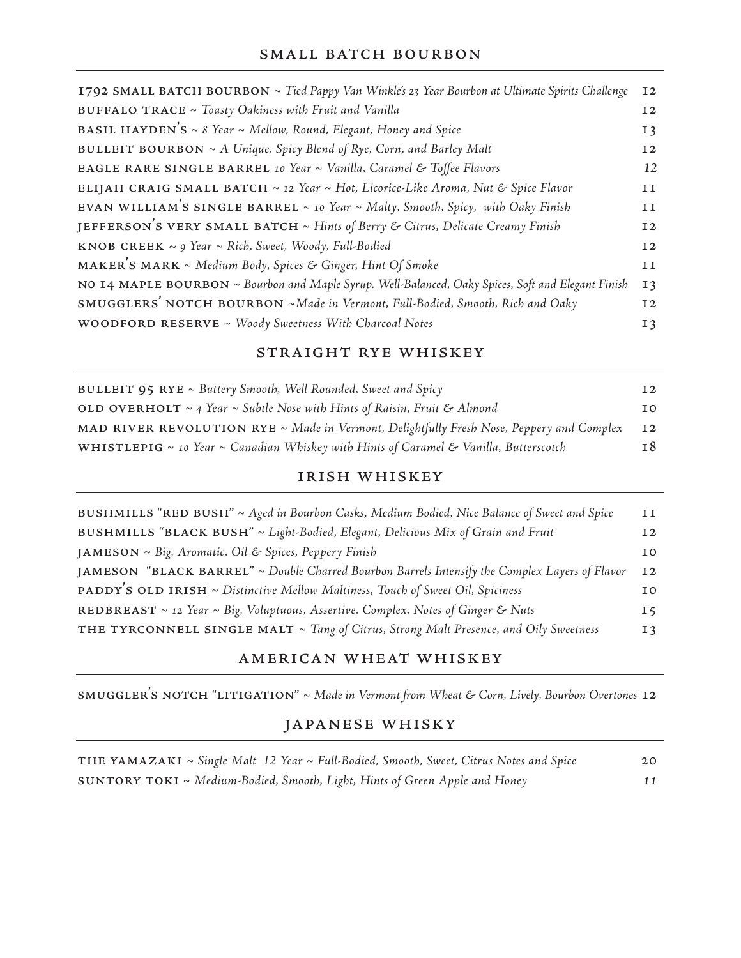#### SMALL BATCH BOURBON

| 1792 SMALL BATCH BOURBON ~ Tied Pappy Van Winkle's 23 Year Bourbon at Ultimate Spirits Challenge   | 12             |
|----------------------------------------------------------------------------------------------------|----------------|
| BUFFALO TRACE ~ Toasty Oakiness with Fruit and Vanilla                                             | <b>I2</b>      |
| <b>BASIL HAYDEN'S</b> ~ 8 Year ~ Mellow, Round, Elegant, Honey and Spice                           | 13             |
| <b>BULLEIT BOURBON</b> $\sim A$ Unique, Spicy Blend of Rye, Corn, and Barley Malt                  | 12             |
| EAGLE RARE SINGLE BARREL 10 Year ~ Vanilla, Caramel & Toffee Flavors                               | 12             |
| ELIJAH CRAIG SMALL BATCH ~ 12 Year ~ Hot, Licorice-Like Aroma, Nut & Spice Flavor                  | 11             |
| EVAN WILLIAM'S SINGLE BARREL $\sim$ 10 Year $\sim$ Malty, Smooth, Spicy, with Oaky Finish          | 11             |
| JEFFERSON'S VERY SMALL BATCH ~ Hints of Berry & Citrus, Delicate Creamy Finish                     | 12             |
| <b>KNOB CREEK</b> $\sim$ 9 Year $\sim$ Rich, Sweet, Woody, Full-Bodied                             | 12             |
| MAKER'S MARK ~ Medium Body, Spices & Ginger, Hint Of Smoke                                         | II             |
| NO 14 MAPLE BOURBON ~ Bourbon and Maple Syrup. Well-Balanced, Oaky Spices, Soft and Elegant Finish | I <sub>3</sub> |
| SMUGGLERS' NOTCH BOURBON ~ Made in Vermont, Full-Bodied, Smooth, Rich and Oaky                     | 12             |
| <b>WOODFORD RESERVE</b> $\sim$ Woody Sweetness With Charcoal Notes                                 | I <sub>3</sub> |

## straight rye whiskey

| <b>BULLEIT 95 RYE</b> $\sim$ Buttery Smooth, Well Rounded, Sweet and Spicy                      | 12  |
|-------------------------------------------------------------------------------------------------|-----|
| OLD OVERHOLT $\sim$ 4 Year $\sim$ Subtle Nose with Hints of Raisin, Fruit & Almond              | T O |
| MAD RIVER REVOLUTION RYE ~ Made in Vermont, Delightfully Fresh Nose, Peppery and Complex        | I2  |
| WHISTLEPIG $\sim$ 10 Year $\sim$ Canadian Whiskey with Hints of Caramel & Vanilla, Butterscotch | 18  |

#### irish whiskey

| BUSHMILLS "RED BUSH" ~ Aged in Bourbon Casks, Medium Bodied, Nice Balance of Sweet and Spice   | II             |
|------------------------------------------------------------------------------------------------|----------------|
| BUSHMILLS "BLACK BUSH" ~ Light-Bodied, Elegant, Delicious Mix of Grain and Fruit               | I <sub>2</sub> |
| JAMESON ~ Big, Aromatic, Oil & Spices, Peppery Finish                                          | T <sub>O</sub> |
| JAMESON "BLACK BARREL" ~ Double Charred Bourbon Barrels Intensify the Complex Layers of Flavor | I <sub>2</sub> |
| <b>PADDY'S OLD IRISH</b> ~ Distinctive Mellow Maltiness, Touch of Sweet Oil, Spiciness         | 10             |
| REDBREAST ~ 12 Year ~ Big, Voluptuous, Assertive, Complex. Notes of Ginger & Nuts              | 15             |
| THE TYRCONNELL SINGLE MALT ~ Tang of Citrus, Strong Malt Presence, and Oily Sweetness          | 13             |

## american wheat whiskey

SMUGGLER'S NOTCH "LITIGATION" ~ Made in Vermont from Wheat & Corn, Lively, Bourbon Overtones 12

## japanese whisky

| <b>THE YAMAZAKI</b> ~ Single Malt 12 Year ~ Full-Bodied, Smooth, Sweet, Citrus Notes and Spice | 20 |
|------------------------------------------------------------------------------------------------|----|
| <b>SUNTORY TOKI</b> ~ Medium-Bodied, Smooth, Light, Hints of Green Apple and Honey             | 11 |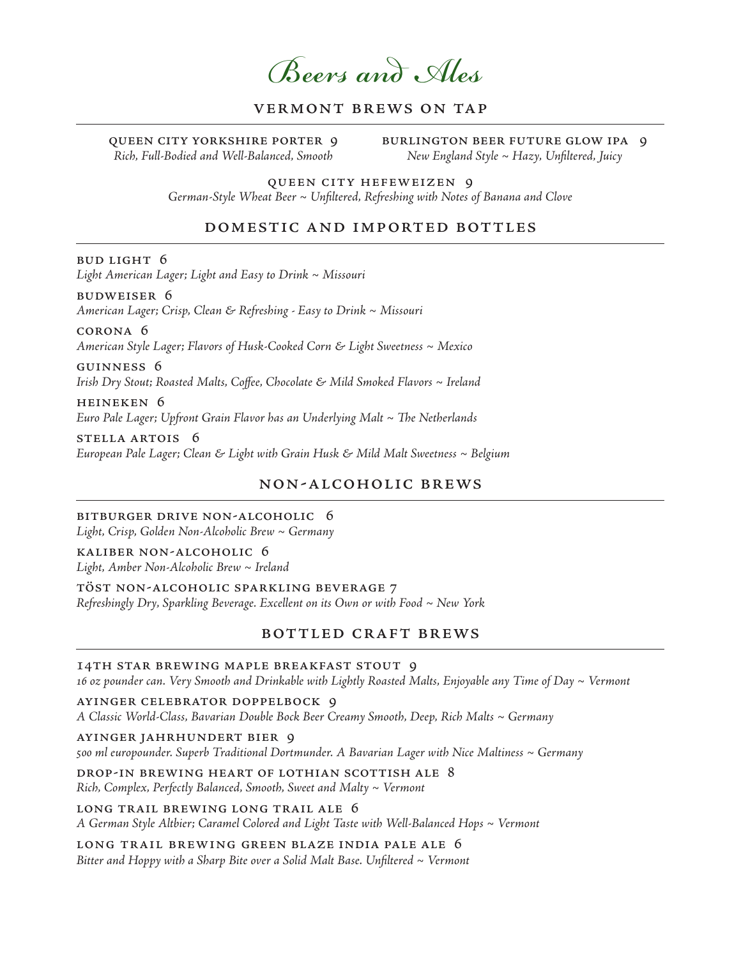Beers and Ales

## vermont brews on tap

queen city yorkshire porter 9 Rich, Full-Bodied and Well-Balanced, Smooth

burlington beer future glow ipa 9 New England Style  $\sim$  Hazy, Unfiltered, Juicy

queen city hefeweizen 9 German-Style Wheat Beer ~ Unfiltered, Refreshing with Notes of Banana and Clove

#### domestic and imported bottles

bud light 6

Light American Lager; Light and Easy to Drink ~ Missouri

budweiser 6 American Lager; Crisp, Clean & Refreshing - Easy to Drink ~ Missouri

corona 6 American Style Lager; Flavors of Husk-Cooked Corn & Light Sweetness ~ Mexico

guinness 6 Irish Dry Stout; Roasted Malts, Coffee, Chocolate & Mild Smoked Flavors ~ Ireland

heineken 6 Euro Pale Lager; Upfront Grain Flavor has an Underlying Malt  $\sim$  The Netherlands

stella artois 6 European Pale Lager; Clean & Light with Grain Husk & Mild Malt Sweetness ~ Belgium

#### non-alcoholic brews

bitburger drive non-alcoholic 6 Light, Crisp, Golden Non-Alcoholic Brew ~ Germany

kaliber non-alcoholic 6 Light, Amber Non-Alcoholic Brew ~ Ireland

töst non-alcoholic sparkling beverage 7 Refreshingly Dry, Sparkling Beverage. Excellent on its Own or with Food ~ New York

#### bottled craft brews

#### 14th star brewing maple breakfast stout 9

16 oz pounder can. Very Smooth and Drinkable with Lightly Roasted Malts, Enjoyable any Time of Day ~ Vermont

ayinger celebrator doppelbock 9 A Classic World-Class, Bavarian Double Bock Beer Creamy Smooth, Deep, Rich Malts ~ Germany

ayinger jahrhundert bier 9 500 ml europounder. Superb Traditional Dortmunder. A Bavarian Lager with Nice Maltiness ~ Germany

drop-in brewing heart of lothian scottish ale 8  $Rich, Complex, Perfectly Balanced, Smooth, Sweet and Malty ~ Vermont$ 

long trail brewing long trail ale 6 A German Style Altbier; Caramel Colored and Light Taste with Well-Balanced Hops ~ Vermont

long trail brewing green blaze india pale ale 6 Bitter and Hoppy with a Sharp Bite over a Solid Malt Base. Unfiltered  $\sim$  Vermont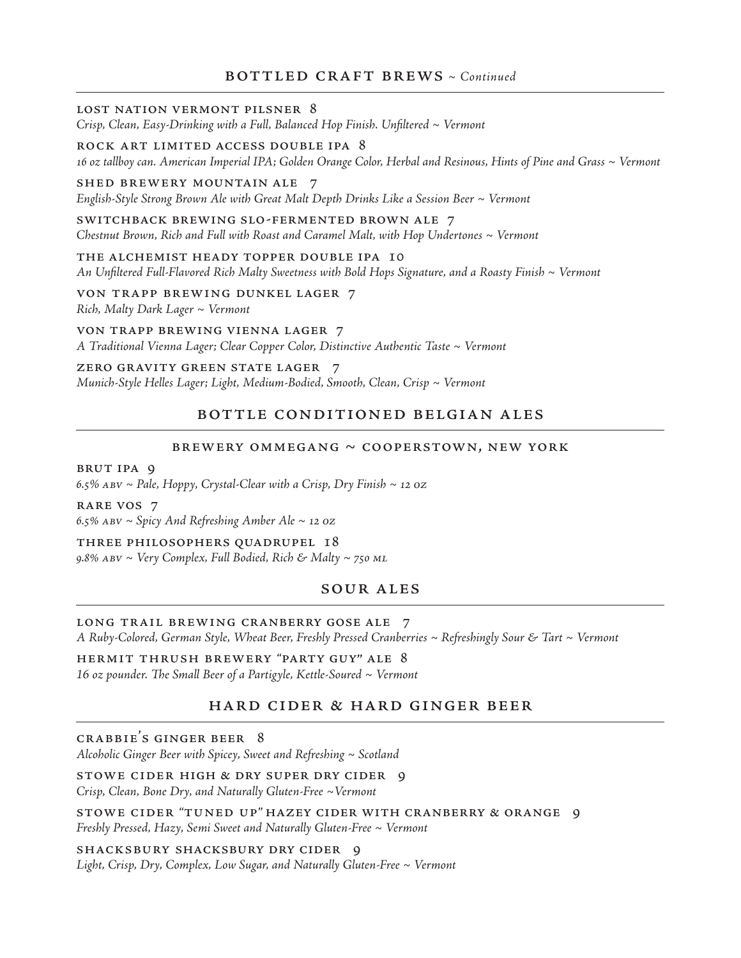## $BOTTLED CRAFT BREWS ~ *Continued*$

#### lost nation vermont pilsner 8

Crisp, Clean, Easy-Drinking with a Full, Balanced Hop Finish. Unfiltered ~ Vermont

#### rock art limited access double ipa 8

16 oz tallboy can. American Imperial IPA; Golden Orange Color, Herbal and Resinous, Hints of Pine and Grass ~ Vermont

#### shed brewery mountain ale 7

English-Style Strong Brown Ale with Great Malt Depth Drinks Like a Session Beer ~ Vermont

switchback brewing slo-fermented brown ale 7 Chestnut Brown, Rich and Full with Roast and Caramel Malt, with Hop Undertones  $\sim$  Vermont

the alchemist heady topper double ipa 10 An Unfiltered Full-Flavored Rich Malty Sweetness with Bold Hops Signature, and a Roasty Finish ~ Vermont

von trapp brewing dunkel lager 7  $Rich, Malty$  Dark Lager  $\sim$  Vermont

von trapp brewing vienna lager 7 A Traditional Vienna Lager; Clear Copper Color, Distinctive Authentic Taste ~ Vermont

zero gravity green state lager 7 Munich-Style Helles Lager; Light, Medium-Bodied, Smooth, Clean, Crisp ~ Vermont

#### bottle conditioned belgian ales

#### BREWERY OMMEGANG  $\sim$  COOPERSTOWN, NEW YORK

brut ipa 9

6.5% ABV ~ Pale, Hoppy, Crystal-Clear with a Crisp, Dry Finish ~ 12  $oz$ 

rare vos 7 6.5% ABV ~ Spicy And Refreshing Amber Ale ~ 12 0Z

three philosophers quadrupel 18 9.8% ABV ~ Very Complex, Full Bodied, Rich & Malty ~ 750 ML

#### sour ales

#### LONG TRAIL BREWING CRANBERRY GOSE ALE 7

A Ruby-Colored, German Style, Wheat Beer, Freshly Pressed Cranberries ~ Refreshingly Sour & Tart ~ Vermont

hermit thrush brewery "party guy" ale 8 16 oz pounder. The Small Beer of a Partigyle, Kettle-Soured  $\sim$  Vermont

## hard cider & hard ginger beer

crabbie's ginger beer 8 Alcoholic Ginger Beer with Spicey, Sweet and Refreshing  $\sim$  Scotland

stowe cider high & dry super dry cider 9 Crisp, Clean, Bone Dry, and Naturally Gluten-Free ~Vermont

stowe cider "tuned up" hazey cider with cranberry & orange 9 Freshly Pressed, Hazy, Semi Sweet and Naturally Gluten-Free ~ Vermont

shacksbury shacksbury dry cider 9 Light, Crisp, Dry, Complex, Low Sugar, and Naturally Gluten-Free  $\sim$  Vermont